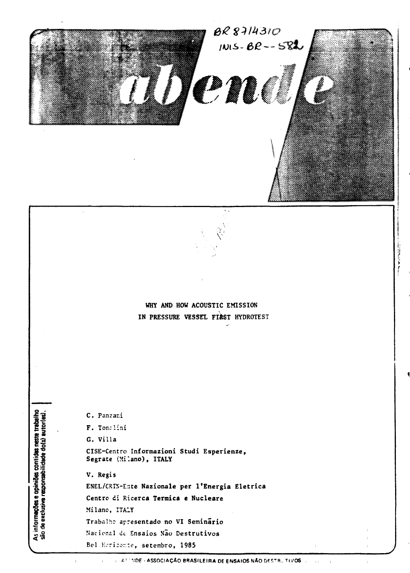

# WHY AND HOW ACOUSTIC EMISSION IN PRESSURE VESSEL FIRST HYDROTEST

C. Panzani F. Tonelini G. Villa CISE-Centro Informazioni Studi Esperienze, Segrate (Milano), ITALY V. Regis ENEL/CRTN-Ente Nazionale per l'Energia Eletrica Centro di Ricerca Termica e Nucleare Milano, ITALY Trabalho apresentado no VI Seminário Nacional de Ensaios Não Destrutivos Bel Herizonte, setembro, 1985

As informações e opiniões contides neste trabalho<br>são de exclusiva responsabilidade do(s) autor(es).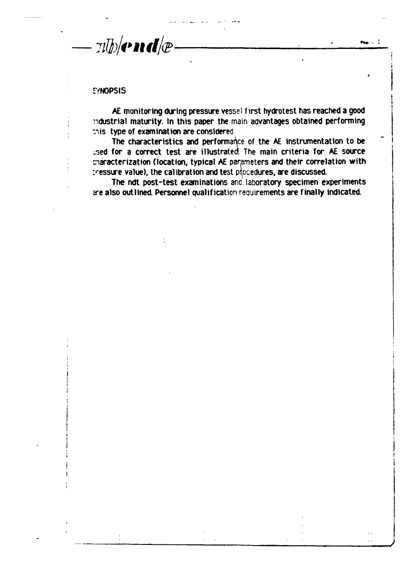$\n *T*$   $\frac{1}{2}$   $\frac{1}{2}$   $\frac{1}{2}$   $\frac{1}{2}$   $\frac{1}{2}$   $\frac{1}{2}$   $\frac{1}{2}$   $\frac{1}{2}$   $\frac{1}{2}$ 

# **SYNOPSIS**

**AE monitoring during pressure vessel first hydrotest has reached a good ndustrial maturity. In this paper the main advantages obtained performing nis type of examination are considered**

**The characteristics and performance of the AE instrumentation to be jseó for a correct test are illustrates The main criteria for AE source cnaracterization (location, typical AE parameters and their correlation with :--essure value), the calibration and test procedures, are discussed.**

**The ndt post-test examinations and laboratory specimen experiments ere also outlined. Personnel qualification requirements are finally indicated.**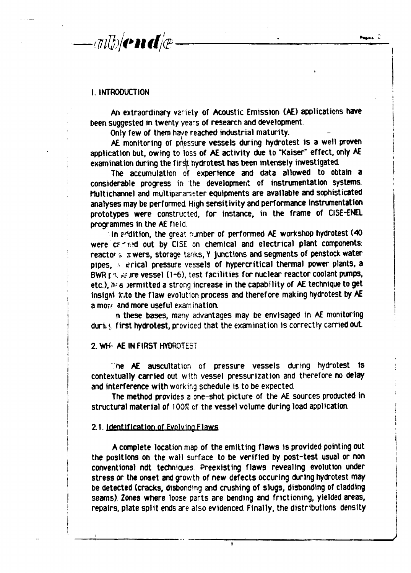$\langle \pi l \psi \rangle$ end $\psi$ 

#### **1. INTRODUCTION**

**An extraordinary variety of Acoustic Emission (AE) applications have been suggested in twenty years of research and development.**

**Only few of them have reached industrial maturity.**

AE monitoring of pressure vessels during hydrotest is a well proven **application but, owing to loss of AE activity due to "Kaiser" effect, only AE examination during the firdft hydrotest has been intensely investigated.**

**The accumulation of experience and data allowed to obtain a considerable progress in the development of instrumentation systems. Multichannel and multiparameter equipments are available and sophisticated analyses may be performed. High sensitivity and performance Instrumentation prototypes were constructed, for instance, in the frame of CI5E-ENEL programmes in the AE field**

**In ?"dition, the great number of performed AE workshop hydrotest (40** were carried out by CISE on chemical and electrical plant components: **reacto' \* .twers, storage tanks, Y junctions and segments of penstock water pipes, ; ierical pressure vessels of hypercritical thermal power plants, a BWR r**  $\leq$  **s ire vessel (1-6), test facilities for nuclear reactor coolant pumps,** etc.),  $n \cdot s$  permitted a strong increase in the capability of AE technique to get **insigat ir.to the flaw evolution process and therefore making hydrotest by AE a mo?f and more useful examination.**

**n these bases, many advantages may be envisaged in AE monitoring** during first hydrotest, provided that the examination is correctly carried out.

# **2. WH- AE IN FIRST HYDROTEST**

**' he AE auscultation of pressure vessels during hydrotest is contextually carried out with vessel pressurization and therefore no delay and interference with working schedule is to be expected.**

**The method provides a one-shot picture of the AE sources producted in structural material of 100% of the vessel volume during load application.**

#### **2.1. Identification of Evolving Flaws**

**A complete location map of the emitting flaws is provided pointing out the positions on the wall surface to be verified by post-test usual or non conventional ndt techniques. Preexisting flaws revealing evolution under stress or the onset and growth of new defects occurtng during hydrotest may be detected (cracks, disbonding and crushing of slugs, disbonding of cladding seams). Zones where loose parts are bending and frictioning, yielded areas, repairs, plate split ends are also evidenced. Finally, the distributions density**

 $\bullet$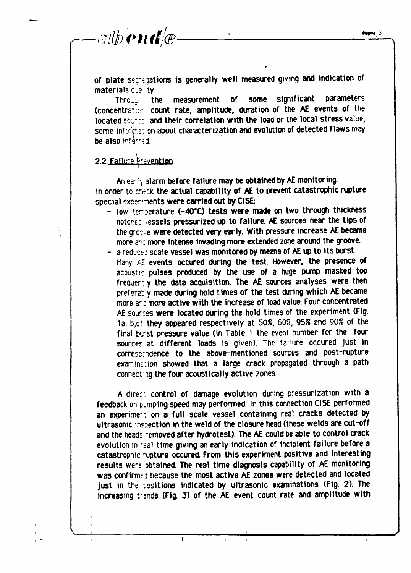$\lll$  with end  $\lll$  .

of plate secte jations is generally well measured giving and indication of **materials**  $C_2$  **ty.** 

**Thrcj: the measurement of some significant parameters (concentrate:' count rate, amplitude, duration of the AE events of the located soj-:t and their correlation with the load or the local stress value,** some information about characterization and evolution of detected flaws may be also inferred.

# 2.2. Failure trevention

**An es ;\ alarm before failure may be obtained by AE monitoring.** In order to check the actual capability of AE to prevent catastrophic rupture special experiments were carried out by CISE:

- low temperature (-40°C) tests were made on two through thickness **notches -essels pressurized up to failure. AE sources near the tips of the gro: e were detected very early. With pressure increase AE became more an: more intense invading more extended zone around the groove.**
- **a reduce: scale vessel was monitored by means of AE up to its burst. Many AE events occured during the test. However, the presence of acoustic pulses produced by the use of a huge pump masked too** frequently the data acquisition. The AE sources analyses were then **prefera: y made during hold times of the test during which AE became more a<sup>r</sup> !: more active with the increase of load value. Four concentrated AE sources were located during the hold times of the experiment (Fig. la, b,c) they appeared respectively at 50%, 608, 95% and 90% of the final bu'st pressure value (in Table 1 the event number for the four sources at different loads is given). The failure occured just in** correspindence to the above-mentioned sources and post-rupture examination showed that a large crack propagated through a path **connectig the four acoustically active zones.**

**A direr, control of damage evolution during pressurization with a feedback on p.mpfng speed may performed. In this connection CISE performed an experimer: on a full scale vessel containing real cracks detected by ultrasonic inspection in the weld of the closure head (these welds are cut-off and the heads removed after hydrotest). The AE could be able to control crack evolution in r-ai time giving an early indication of incipient failure before a catastrophic -upture occured. From this experiment positive and interesting results were obtained. The real time diagnosis capability of AE monitoring was confirme i because the most active AE zones were detected and located just in the :ositions indicated by ultrasonic examinations (Fig. 2). The increasing t^nds (Fig. 3) of the AE event count rate and amplitude with**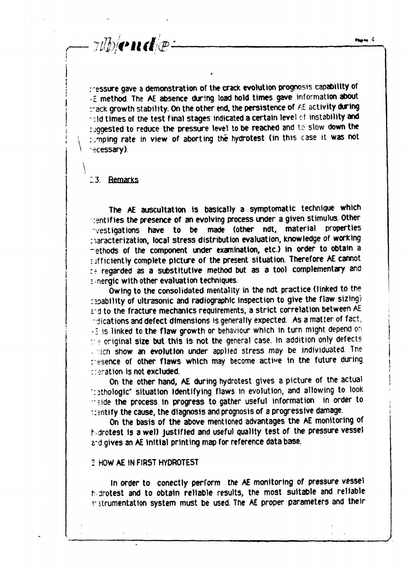**: essure gave a demonstration of the crack evolution prognosis capability of £ method The AE absence during load hold times gave information about rack growth stability. On the other end. the persistence of AE activity during** rold times of the test final stages indicated a certain level of instability and **suggested to reduce the pressure level to be reached and to slow down the raping rate in view of aborting the hydrotest (in this case it was not •rcessary)**

#### **13. Remarks**

ylb/cnde-

**\**

**The AE auscultation is basically a symptomatic technique which rentifies the presence of an evolving process under a given stimulus. Other vestigations have to be made (other ndt, material properties naracterization, local stress distribution evaluation, knowledge of working -ethods of the component under examination, etc.) in order to obtain a = jfficiently complete picture of the present situation. Therefore AE cannot :? regarded as a substitutive method but as a tool complementary and : nergic with other evaluation techniques.**

**Owing to the consolidated mentality in the ndt practice (linked to the ^ability of ultrasonic and radiographic inspection to give the flaw sizing) vú to the fracture mechanics requirements, a strict correlation between AE • dications and defect dimensions is generally expected. As a matter of fact -1 is linked to the flaw growth or behaviour which in turn might depend on :- original size but this is not the general case. In addition only defects . ich show an evolution under applied stress may be individuated. The resence of other flaws which may become active in the future during deration is not excluded.**

**On the other hand, AE during hydrotest gives a picture of the actual rsthologic" situation identifying flaws in evolution, and allowing to look -?ide the process in progress to gather useful information in order to i:?ntify the cause, the diagnosis and prognosis of a progressive damage.**

**On the basis of the above mentioned advantages the AE monitoring of hdrotest is a welJ justified and useful quality test of the pressure vessel s-d gives an AE initial printing map for reference data base.**

# **: HOW AE IN FIRST HYDROTEST**

**In order to conectly perform the AE monitoring of pressure vessel Mrotest and to obtain reliable results, the most suitable and reliable 1- jtrumentation system must be used. The AE proper parameters and their**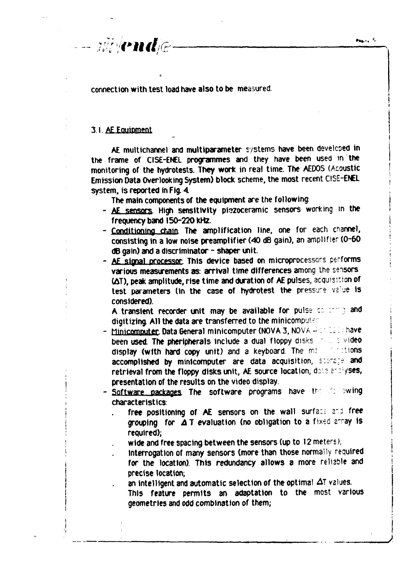$\bullet$ 

connection with test load have also to be measured.

# 3.1. AE Equipment

 $-i\partial/\partial\mathbf{P}$ nd $\partial\mathbf{P}$ 

AE multichannel and multiparameter systems have been developed in the frame of CISE-ENEL programmes and they have been used in the monitoring of the hydrotests. They work in real time. The AEDOS (Acoustic Emission Data Overlooking System) block scheme, the most recent CISE-ENEL system, is reported in Fig. 4.

The main components of the equipment are the following:

- AE sensors. High sensitivity piezoceramic sensors working in the frequency band 150-220 kHz.
- Conditioning chain. The amplification line, one for each channel, consisting in a low noise preamplifier (40 dB gain), an amplifier (0-60 dB gain) and a discriminator - shaper unit.
- AE signal processor This device based on microprocessors performs various measurements as: arrival time differences among the sensors (AT), peak amplitude, rise time and duration of AE pulses, acquisition of test parameters (in the case of hydrotest the pressure value is considered).

A transient recorder unit may be available for pulse contrary and digitizing. All the data are transferred to the minicomputer.

- Minicomputer, Data General minicomputer (NOVA 3, NOVA 4 or 52.1) have been used. The pheripherals include a dual floppy disks that a video display (with hard copy unit) and a keyboard. The man **Contions** accomplished by minicomputer are data acquisition, storage and retrieval from the floppy disks unit, AE source location, data analyses, presentation of the results on the video display.
- Software packages. The software programs have the following characteristics:
	- free positioning of AE sensors on the wall surface and free grouping for  $\Delta T$  evaluation (no obligation to a fixed array is required):
	- wide and free spacing between the sensors (up to 12 meters);
	- interrogation of many sensors (more than those normally required for the location). This redundancy allows a more reliable and precise location:
	- an intelligent and automatic selection of the optimal  $\Delta T$  values. This feature permits an adaptation to the most various geometries and odd combination of them;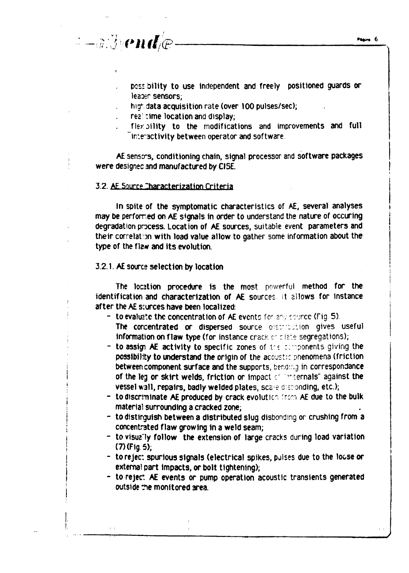$\mathcal{I}-\tilde{a}\mathcal{I}$ *Dende* 

**posi oility to use independent and freely positioned guards or** leader sensors;

**nig<sup>1</sup> - data acquisition rate (over 100 pulses/sec);**

res time location and display;

**fler oility to the modifications and improvements and full "inteactivity between operator and software**

AE senso-s, conditioning chain, signal processor and software packages **: were designec and manufactured by ClSE.**

## **3.2. AE Source Characterization Criteria**

**In spite of the symptomatic characteristics of AE, several analyses may be perfomed on AE signals in order to understand the nature of occuring degradation process. Location of AE sources, suitable event parameters and** their correlation with load value allow to gather some information about the type of the flzw and its evolution.

# **3.2.1. AE sourc? selection by location**

**[**

**The location procedure is the most powerful method for the identification and characterization of AE sources it allows for instance after the AE sources have been localized:**

- *<b> to evaluate the concentration of AE events for any source (Fig. 5).* The concentrated or dispersed source distribution gives useful information on flaw type (for instance crack or clate segregations);
- **to assign AE activity to specific zones of irc . exponents giving the possibility to understand the origin of the acoustic phenomena (friction i between component surface and the supports, beroir.g in correspondence I I** of the leg or skirt welds, friction or impact of internals" against the **vessel wall, repairs, badly welded plates, scare distionding, etc.);** 
	- **; to discriminate AE produced by crack evolution from AE due to the bulk I material surrounding a cracked zone;**
	- **| to distinguish between a distributed slug disbondmg or crushing from a | concentrated flaw growing in a weld seam;**
	- **i to visuz'ly follow the extension of large cracks during load variation I (7) (Fig 5),**
	- **j to reject spurious signals (electrical spikes, pulses due to the loose or** external part impacts, or bolt tightening);
	- **I to reject AE events or pump operation acoustic transients generated | outside the monitored area.**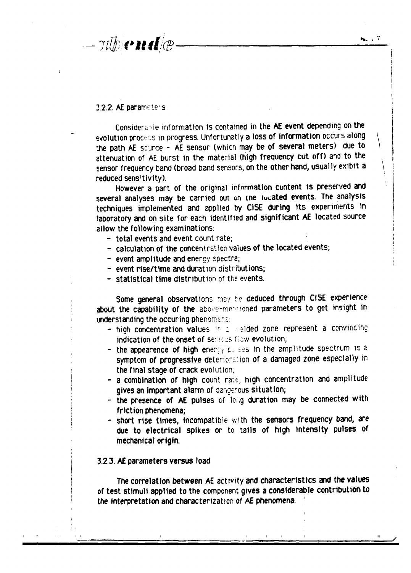$-\pi\psi$  on  $\psi$ 

#### 3.2.2. AE parameters

:

:

Considers- le information is contained in the AE event depending on the evolution process in progress. Unfortunatly a loss of information occurs along the path AE source - AE sensor (which may be of several meters) due to attenuation of AE burst in the material (high frequency cut off) and to the sensor frequency band (broad band sensors, on the other hand, usually exibit a reduced sens'tivity).

However a part of the original information content is preserved and several analyses may be carried out on the located events. The analysis techniques implemented and applied by CISE during its experiments in laboratory and on site for each identified and significant AE located source allow the following examinations:

- total events and event count rate;
- calculation of the concentration values of the located events;
- event amplitude and energy spectra;
- event rise/time and duration distributions;
- statistical time distribution of the events.

Some general observations may be deduced through CISE experience about the capability of the above-mestioned parameters to get insight in understanding the occuring phenomenal

- high concentration values in a selded zone represent a convincing indication of the onset of servees flaw evolution;
	- the appearence of high energy is ses in the amplitude spectrum is a symptom of progressive deterioration of a damaged zone especially in the final stage of crack evolution;
	- a combination of high count rate, high concentration and amplitude gives an important alarm of dangerous situation;
	- the presence of AE pulses of long duration may be connected with friction phenomena;
	- short rise times, incompatible with the sensors frequency band, are due to electrical spikes or to tails of high intensity pulses of mechanical origin.

# 3.2.3. AE parameters versus load

The correlation between AE activity and characteristics and the values of test stimuli applied to the component gives a considerable contribution to i the interpretation and characterization of AE phenomena.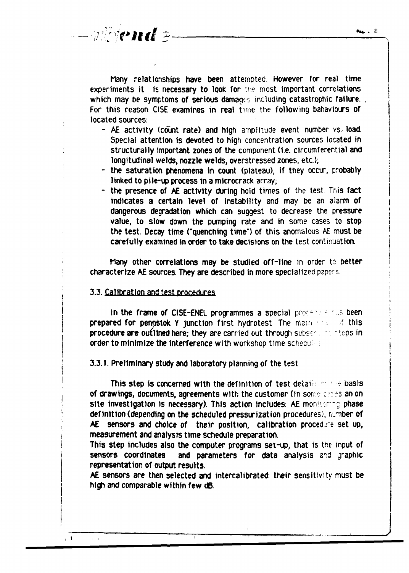**Many relationships have been attempted However for real time** experiments it is necessary to look for the most important correlations which may be symptoms of serious damages including catastrophic failure. **For this reason CiSE examines in real time the following bahaviours of located sources.**

- **AE activity (count rate) and high anplitude event number vs load. Special attention is devoted to high concentration sources located in structurally important zones of the component (i.e. circumferential and longitudinal welds, nozzle welds, overstressed zones, etc.); \**
- **- the saturation phenomena in count (plateau), if they occur, probably j linked to pile-up process in a microcrack array; j**
- **the presence of AE activity during hold times of the test This fact j indicates a certain level of instability and may be an alarm of | dangerous degradation which can suggest to decrease the pressure ! value, to slow down the pumping rate and in some cases to stop j the test. Decay time ("quenching time") of this anomalous AE must be > carefully examined in order to take decisions on the test continuation. j**

**Many other correlations may be studied off-line in order to better i characterize AE sources. They are described in more specialized pape<sup>r</sup> s. ]**

# **3.3. Calibration and test procedures j**

 $\pm$  1

 $\bar{1}=-1$ 

 $--$  where  $\mathcal{E}-$ 

**I I In the frame of CISE-ENEL programmes a special procetion of us been prepared for pennstok Y junction first hydrotest. The main instantial this procedure are outlined here; they are carried out through subs? ~ f .eps in order to minimize the Interference with workshop time schecu**

**3.3.1. Preliminary study and laboratory planning of the test**

**This step is concerned with the definition of test details or the basis of drawings, documents, agreements with the customer (in some crass an on site Investigation is necessary). This action includes: AE moniicrrg phase** definition (depending on the scheduled pressurization procedures), rumber of **AE sensors and choice of their position, calibration procedure set up, measurement and analysis time schedule preparation.**

**This step includes also the computer programs set-up, that is the input of sensors coordinates and parameters for data analysis and graphic representation of output results.**

**AE sensors are then selected and intercaltbrated: their sensitivity must be high and comparable within few dB.**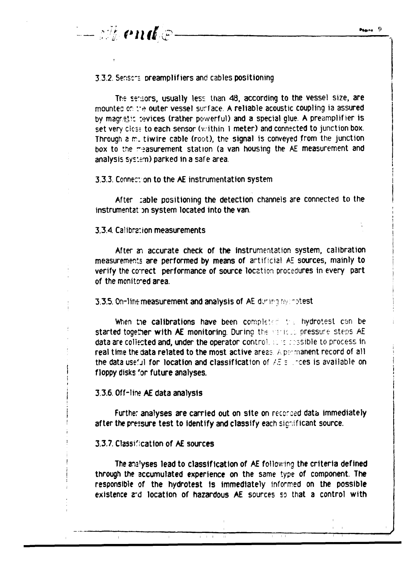# 3.3.2. Sensers preamplifiers and cables positioning

The serisons, usually less than 48, according to the vessel size, are mounted on the outer vessel surface. A reliable acoustic coupling ia assured by magreli: :evices (rather powerful) and a special glue. A preamplifier is set very cless to each sensor (within 1 meter) and connected to junction box. Through a m. tiwire cable (root), the signal is conveyed from the junction box to the  $m$ -asurement station (a van housing the AE measurement and analysis system) parked in a safe area.

#### 3.3.3. Conner, on to the AE instrumentation system

After :able positioning the detection channels are connected to the instrumental on system located into the van.

# 3.3.4 Cal ibr2:ion measurements

'- *Alle end @* 

After an accurate check of the instrumentation system, calibration measurements are performed by means of artificial AE sources, mainly to verify the correct performance of source location procedures in every part of the monitored area.

3.3.5. On-line measurement and analysis of AE during hydrotest

When the calibrations have been completed the hydrotest can be started together with AE monitoring. During the various pressure steps AE data are collected and, under the operator control. sursissible to process in real time the data related to the most active areas. A permanent record of all the data useful for location and classification of  $\angle E = \angle \angle$  ress is available on floppy disks 'or future analyses.

#### 3.3.6. Off-lire AE data analysis

Further analyses are carried out on site on recorded data immediately after the pressure test to identify and classify each significant source.

# 3.3.7. Classification of AE sources

The ans'yses lead to classification of AE following the criteria defined through the accumulated experience on the same type of component. The responsible of the hydrotest is immediately informed on the possible existence 2rd location of hazardous AE sources so that a control with

 $\mathbb{F} = \mathbb{F} = \mathbb{F}$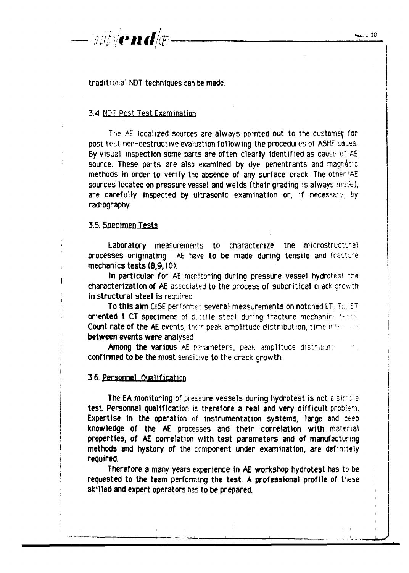traditional NDT techniques can be made.

#### 3.4. NDT Post Test Examination

The AE localized sources are always pointed out to the customer for post test non-destructive evaluation following the procedures of A5ME coces. By visual inspection some parts are often clearly identified as cause of AE source. These parts are also examined by dye penentrants and magnetic methods in order to verify the absence of any surface crack. The other IAE sources located on pressure vessel and welds (their grading is always made), are carefully inspected by ultrasonic examination or, if necessary, by radiography.

# 3.5. Specimen Tests

Laboratory measurements to characterize the microstructural processes originating AE have to be made during tensile and fracture mechanics tests (8,9,10)

In particular for AE monitoring during pressure vessel hydrotest t^e characterization of AE associated to the process of subcritical crack growth in structural steel is required.

To this aim CISE performed several measurements on notched LT. T:.. ST oriented \ CT specimens of ductile steel during fracture mechanics tests. Count rate of the AE events, their peak amplitude distribution, time interment between events were analysed

Among the various AE parameters, peak amplitude distribution confirmed to be the most sensitive to the crack growth.

#### 3 6 Personnel Qualification

The EA monitoring of pressure vessels during hydrotest is not a simple test. Personnel qualification is therefore a real and very difficult problem. Expertise in the operation of instrumentation systems, large and ceep knowledge of the AE processes and their correlation with material properties, of AE correlation with test parameters and of manufacturing ! methods and hystory of the component under examination, are definitely required.

Therefore a many years experience in AE workshop hydrotest has to be requested to the team performing the test. A professional profile of these skilled and expert operators has to be prepared.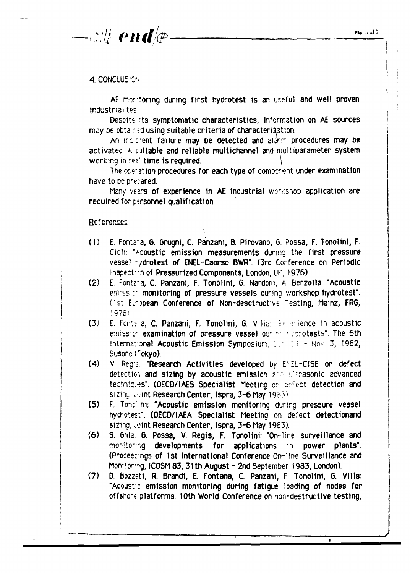$-cil\ell$  end  $\ell$ 

# 4. CONCLUSION

AE monitoring during first hydrotest is an useful and well proven industrial test.

Despite its symptomatic characteristics, information on AE sources may be obtained using suitable criteria of characterization.

An incirrent failure may be detected and aldrm procedures may be activated. A suitable and reliable multichannel and multiparameter system working in real time is required.

The operation procedures for each type of component under examination have to be precared.

Many years of experience in AE industrial werkshop application are required for personnel qualification.

### References

- E. Fontana, G. Grugni, C. Panzani, B. Pirovano, G. Possa, F. Tonolini, F.  $(1)$ Cioli: "Acoustic emission measurements during the first pressure vessel tydrotest of ENEL-Caorso BWR". (3rd Conference on Periodic Inspection of Pressurized Components, London, UK, 1976).
- $(2)$ E. Fontaia, C. Panzani, F. Tonolini, G. Nardoni, A. Berzolla: "Acoustic emissic monitoring of pressure vessels during workshop hydrotest". (1st European Conference of Non-desctructive Testing, Mainz, FRG,  $1975$
- $(3)$ E. Fontana, C. Panzani, F. Tonolini, G. Villa: Experience in acoustic emission examination of pressure vessel during a gootests". The 6th International Acoustic Emission Symposium,  $CF = F + Nov.$  3, 1982, Susono ("okyo).
- $(4)$ V. Regis: "Research Activities developed by ENEL-CISE on defect detection and sizing by acoustic emission and witrasonic advanced techniques". (OECD/IAES Specialist Meeting on defect detection and sizing, wint Research Center, Ispra, 3-6 May 1983).
- $(5)$ F. Tondimi: "Acoustic emission monitoring during pressure vessel hydrotest". (OECD/IAEA Specialist Meeting on defect detectionand sizing, wint Research Center, Ispra, 3-6 May 1983).
- $(6)$ S. Ghia, G. Possa, V. Regis, F. Tonolini: "On-line surveillance and monitoring developments for applications in power plants". (Proceetings of 1st International Conference On-line Surveillance and Monitoring, ICOSM 83, 31th August - 2nd September 1983, London).
- $(7)$ D. Bozzeti, R. Brandi, E. Fontana, C. Panzani, F. Tonolini, G. Villa: "Acoustic emission monitoring during fatigue loading of nodes for offshore platforms. 10th World Conference on non-destructive testing,

 $\blacksquare$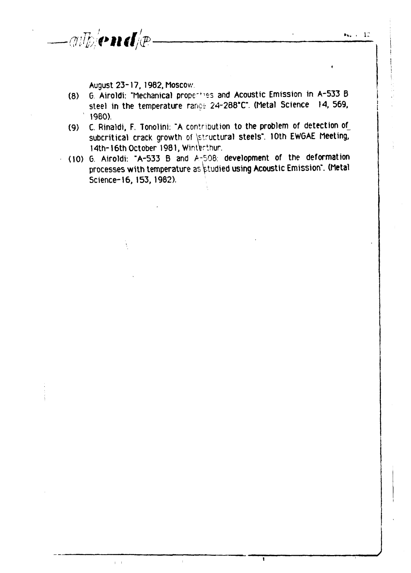$-m$  which  $d/p$  .

August 23-17, 1982, Moscow

- (8) 6. Airoldi: "Mechanical prope'fies and Acoustic Emission in A-533 B steel in the temperature range 24-288°C". (Metal Science 14, 569, 1980).
- (9) C. Rinaldi, F. Tonolini: "A contribution to the problem of detection of subcritical crack growth of \structural steels". 10th EWGAE Meeting, 14th-16th October 1981, Winterthur.
- (10) 6. Airoldi: "A-533 B and A-508. development of the deformation processes with temperature as studied using Acoustic Emission". (Metal Science-16, 153, 1982).

 $\mathbf{r}$ 

 $\mathbf{r}$ 

 $\bar{\rm I}$  .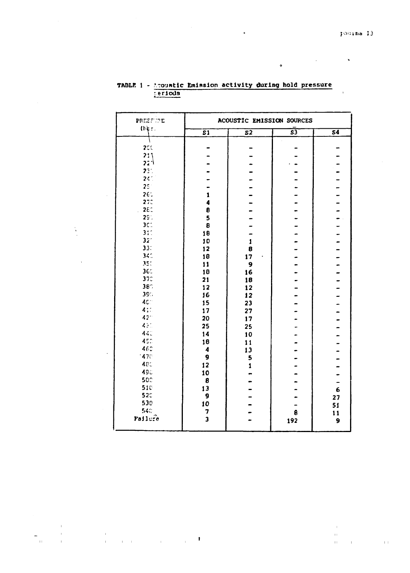$\ddot{\phantom{a}}$ 

 $\overline{\phantom{a}}$ 

 $\ddot{\bullet}$ 

| PRESERVE                          | ACOUSTIC EMISSION SOURCES  |                          |                         |                           |
|-----------------------------------|----------------------------|--------------------------|-------------------------|---------------------------|
| (ber.                             | $\overline{s1}$            | $\overline{\mathbf{s2}}$ | $\overline{\mathbf{s}}$ | $\overline{\mathbf{s}}$ 4 |
|                                   |                            |                          |                         |                           |
| 200                               |                            |                          |                         |                           |
| 2:1<br>22 J                       |                            |                          |                         |                           |
| 2:1                               |                            |                          |                         |                           |
| 24.7                              |                            |                          |                         |                           |
| $25^{\circ}$                      |                            |                          |                         |                           |
| 261                               | $\pmb{1}$                  |                          |                         | $\frac{1}{1}$             |
| 27 <sub>c</sub>                   | 4                          |                          |                         |                           |
| 2E <sub>1</sub><br>$\overline{a}$ | $\pmb{\theta}$             |                          |                         |                           |
| 291                               | 5                          |                          |                         |                           |
| 3C <sub>1</sub>                   | $\pmb{B}$                  |                          |                         |                           |
| 310                               | 18                         |                          |                         |                           |
| 32 <sup>o</sup>                   | 10                         | $\mathbf{1}$             |                         |                           |
| 33:                               | 12                         | 8                        |                         |                           |
| 34 <sup>°</sup>                   | 18                         | 17                       |                         |                           |
| 350                               | 11                         | 9                        |                         |                           |
| 360                               | 10                         | 16                       |                         |                           |
| 37C                               | 21                         | 18                       |                         |                           |
| $38^\circ$                        | 12                         | 12                       |                         |                           |
| 390                               | 16                         | 12                       |                         |                           |
| 40 <sup>-</sup>                   | 15                         | 23                       |                         |                           |
| 410<br>42 <sup>o</sup>            | 17                         | 27                       |                         |                           |
|                                   | 20                         | 17                       |                         | -                         |
| 450<br>440                        | 25                         | 25                       |                         |                           |
| 450                               | 14                         | 10                       |                         |                           |
| 460                               | 18<br>$\blacktriangleleft$ | 11                       |                         |                           |
| 470                               | 9                          | 13                       |                         |                           |
| 480                               | 12                         | 5                        |                         |                           |
| 490                               | 10                         | $\mathbf{1}$             |                         |                           |
| 500                               | 8                          |                          |                         |                           |
| 510                               | 13                         |                          |                         | $\epsilon$                |
| 520                               | 9                          |                          |                         | 27                        |
| 530                               | 10                         |                          |                         | 51                        |
| 540                               | 7                          |                          | 8                       | 11                        |
| Failure                           | $\overline{\mathbf{3}}$    |                          | 192                     | 9                         |

# TABLE 1 - Acoustic Emission activity during hold pressure  $=$   $rri$ ods

 $\frac{1}{\sqrt{2}}$  $\frac{1}{4}$  ,  $\frac{1}{2}$  ,  $\frac{1}{4}$  ,  $\frac{1}{4}$  ,  $\frac{1}{4}$  $\mathcal{L}_{\text{max}}$  and  $\mathcal{L}_{\text{max}}$  and  $\mathcal{L}_{\text{max}}$ 

 $\frac{1}{2}$ 

 $\pm 1$  $\bar{W}$  $\sim 10^{11}$  km  $^{-1}$  $\mathbf{H}^{\text{L}}$  and  $\mathbf{H}^{\text{L}}$  and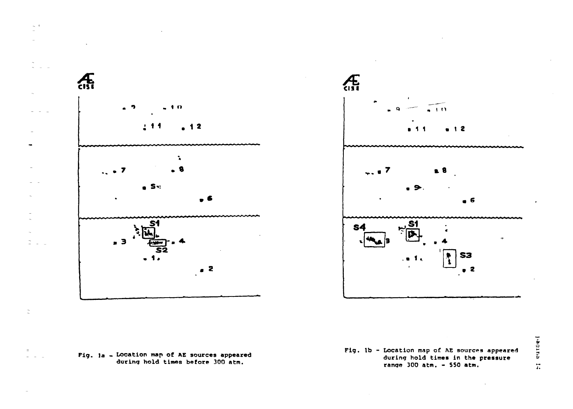





**Fig. lb - Location map of AE sources appeared during hold times in the pressure range 300 atm. - SSO atm.**

Piagina I: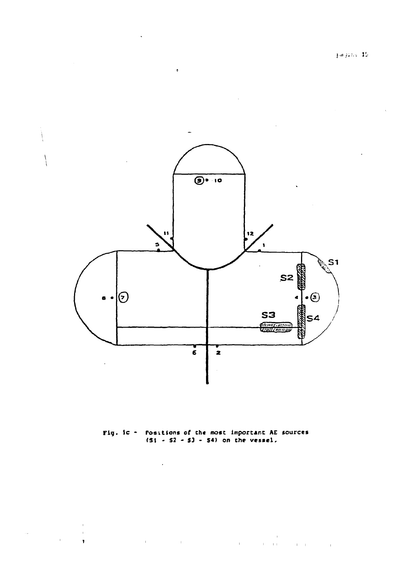pagina  $\mathbf{15}$ 

 $\chi$ 



 $\sim 10$ 

 $\begin{array}{c} \begin{array}{c} \cdot \\ \cdot \end{array} \\ \begin{array}{c} \cdot \\ \cdot \end{array} \end{array}$ 

 $\mathcal{A}^{\pm}$ 

**Fig. tc - Positions of the most Important AE sources (SI - S2 - 53 - S4> on the vessel.**

 $\label{eq:2.1} \mathcal{A}^{(1)}(x) = \mathcal{A}^{(1)}(x) = \mathcal{A}^{(1)}(x) = \mathcal{A}^{(1)}(x) = \mathcal{A}^{(1)}(x) = \mathcal{A}^{(1)}(x) = \mathcal{A}^{(1)}(x) = \mathcal{A}^{(1)}(x) = \mathcal{A}^{(1)}(x) = \mathcal{A}^{(1)}(x) = \mathcal{A}^{(1)}(x) = \mathcal{A}^{(1)}(x) = \mathcal{A}^{(1)}(x) = \mathcal{A}^{(1)}(x) = \mathcal{A}^{(1)}(x) = \$ 

 $\mathcal{L}^{\text{max}}_{\text{max}}$ 

 $\pm$ 

 $\mathbf{r}$ 

 $\mathbf{u}^{\dagger}$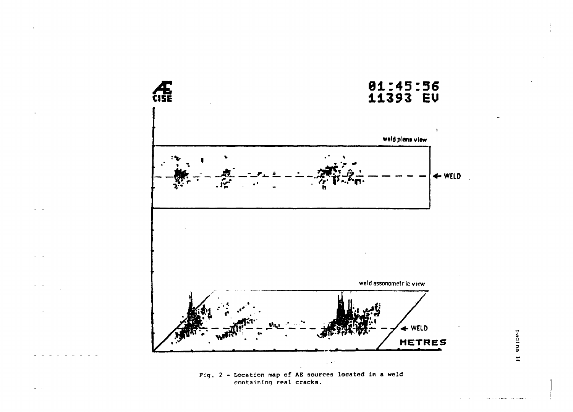

Fig. 2 - Location map of AE sources located in a weld containing real cracks.

yanina It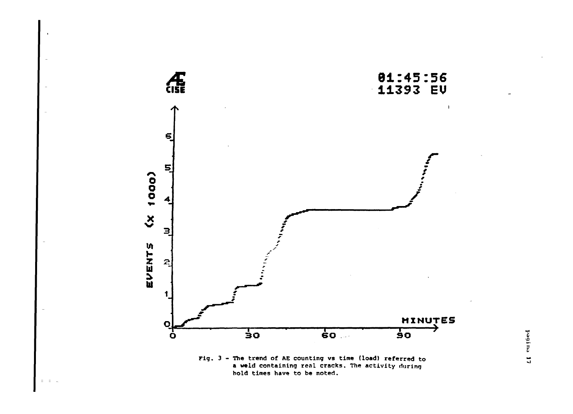

hold times have to be noted.

 $\Xi^{\prime}=\Xi^{\prime}=\Xi$ 

pagina 17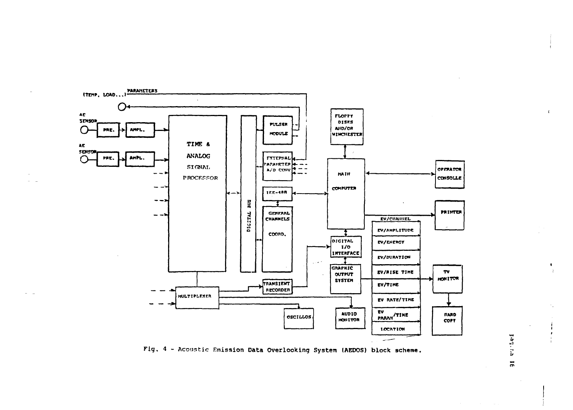

Fig. 4 - Acoustic Emission Data Overlooking System (AEDOS) block scheme.

er: 15er1  $\overline{a}$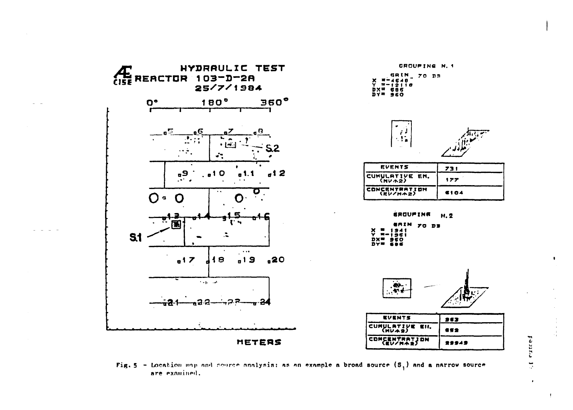

Fig. 5 - Location wap and source analysis: as an example a broad source  $(S_j)$  and a narrow source are examined.

**Fautio**  $\overline{\phantom{a}}$ 

 $\bullet$